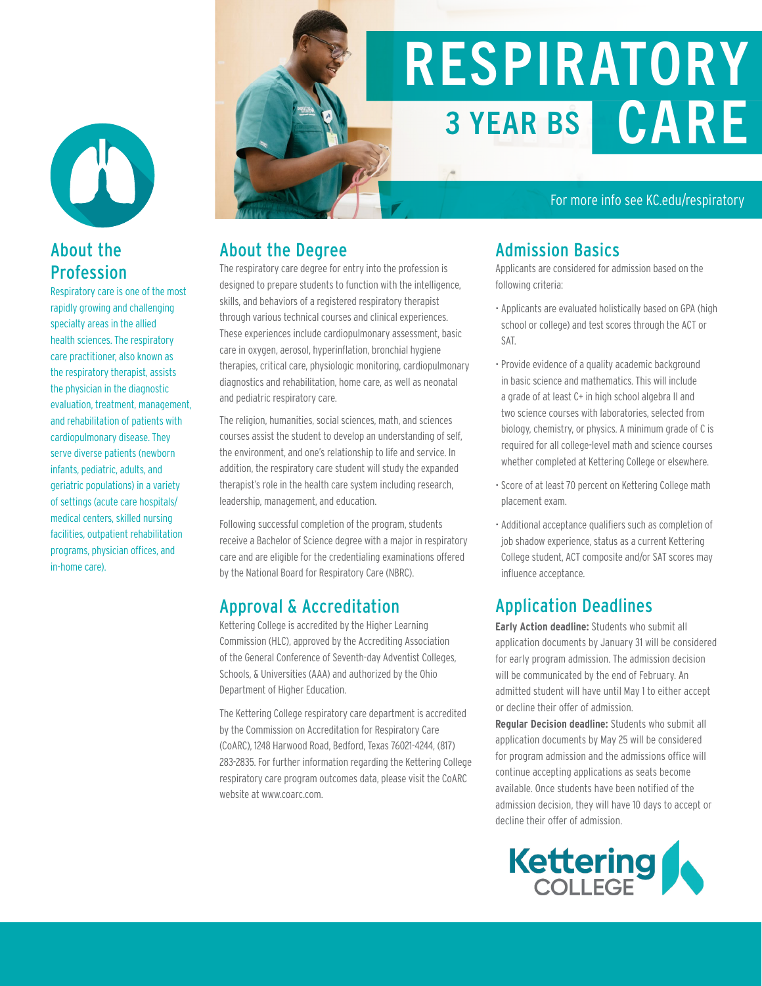W

#### About the Profession

Respiratory care is one of the most rapidly growing and challenging specialty areas in the allied health sciences. The respiratory care practitioner, also known as the respiratory therapist, assists the physician in the diagnostic evaluation, treatment, management, and rehabilitation of patients with cardiopulmonary disease. They serve diverse patients (newborn infants, pediatric, adults, and geriatric populations) in a variety of settings (acute care hospitals/ medical centers, skilled nursing facilities, outpatient rehabilitation programs, physician offices, and in-home care).

# RESPIRATORY 3 YEAR BS CARE

#### For more info see KC.edu/respiratory

#### About the Degree

The respiratory care degree for entry into the profession is designed to prepare students to function with the intelligence, skills, and behaviors of a registered respiratory therapist through various technical courses and clinical experiences. These experiences include cardiopulmonary assessment, basic care in oxygen, aerosol, hyperinflation, bronchial hygiene therapies, critical care, physiologic monitoring, cardiopulmonary diagnostics and rehabilitation, home care, as well as neonatal and pediatric respiratory care.

The religion, humanities, social sciences, math, and sciences courses assist the student to develop an understanding of self, the environment, and one's relationship to life and service. In addition, the respiratory care student will study the expanded therapist's role in the health care system including research, leadership, management, and education.

Following successful completion of the program, students receive a Bachelor of Science degree with a major in respiratory care and are eligible for the credentialing examinations offered by the National Board for Respiratory Care (NBRC).

#### Approval & Accreditation

Kettering College is accredited by the Higher Learning Commission (HLC), approved by the Accrediting Association of the General Conference of Seventh-day Adventist Colleges, Schools, & Universities (AAA) and authorized by the Ohio Department of Higher Education.

The Kettering College respiratory care department is accredited by the Commission on Accreditation for Respiratory Care (CoARC), 1248 Harwood Road, Bedford, Texas 76021-4244, (817) 283-2835. For further information regarding the Kettering College respiratory care program outcomes data, please visit the CoARC website at www.coarc.com.

#### Admission Basics

Applicants are considered for admission based on the following criteria:

- Applicants are evaluated holistically based on GPA (high school or college) and test scores through the ACT or SAT.
- Provide evidence of a quality academic background in basic science and mathematics. This will include a grade of at least C+ in high school algebra II and two science courses with laboratories, selected from biology, chemistry, or physics. A minimum grade of C is required for all college-level math and science courses whether completed at Kettering College or elsewhere.
- Score of at least 70 percent on Kettering College math placement exam.
- Additional acceptance qualifiers such as completion of job shadow experience, status as a current Kettering College student, ACT composite and/or SAT scores may influence acceptance.

#### Application Deadlines

**Early Action deadline:** Students who submit all application documents by January 31 will be considered for early program admission. The admission decision will be communicated by the end of February. An admitted student will have until May 1 to either accept or decline their offer of admission.

**Regular Decision deadline:** Students who submit all application documents by May 25 will be considered for program admission and the admissions office will continue accepting applications as seats become available. Once students have been notified of the admission decision, they will have 10 days to accept or decline their offer of admission.